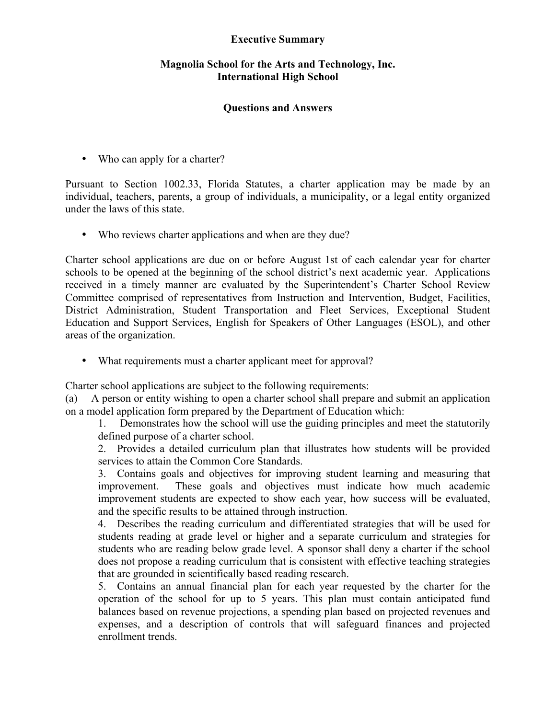## **Executive Summary**

## **Magnolia School for the Arts and Technology, Inc. International High School**

## **Questions and Answers**

• Who can apply for a charter?

Pursuant to Section 1002.33, Florida Statutes, a charter application may be made by an individual, teachers, parents, a group of individuals, a municipality, or a legal entity organized under the laws of this state.

• Who reviews charter applications and when are they due?

Charter school applications are due on or before August 1st of each calendar year for charter schools to be opened at the beginning of the school district's next academic year. Applications received in a timely manner are evaluated by the Superintendent's Charter School Review Committee comprised of representatives from Instruction and Intervention, Budget, Facilities, District Administration, Student Transportation and Fleet Services, Exceptional Student Education and Support Services, English for Speakers of Other Languages (ESOL), and other areas of the organization.

• What requirements must a charter applicant meet for approval?

Charter school applications are subject to the following requirements:

(a) A person or entity wishing to open a charter school shall prepare and submit an application on a model application form prepared by the Department of Education which:

1. Demonstrates how the school will use the guiding principles and meet the statutorily defined purpose of a charter school.

2. Provides a detailed curriculum plan that illustrates how students will be provided services to attain the Common Core Standards.

3. Contains goals and objectives for improving student learning and measuring that improvement. These goals and objectives must indicate how much academic improvement students are expected to show each year, how success will be evaluated, and the specific results to be attained through instruction.

4. Describes the reading curriculum and differentiated strategies that will be used for students reading at grade level or higher and a separate curriculum and strategies for students who are reading below grade level. A sponsor shall deny a charter if the school does not propose a reading curriculum that is consistent with effective teaching strategies that are grounded in scientifically based reading research.

5. Contains an annual financial plan for each year requested by the charter for the operation of the school for up to 5 years. This plan must contain anticipated fund balances based on revenue projections, a spending plan based on projected revenues and expenses, and a description of controls that will safeguard finances and projected enrollment trends.